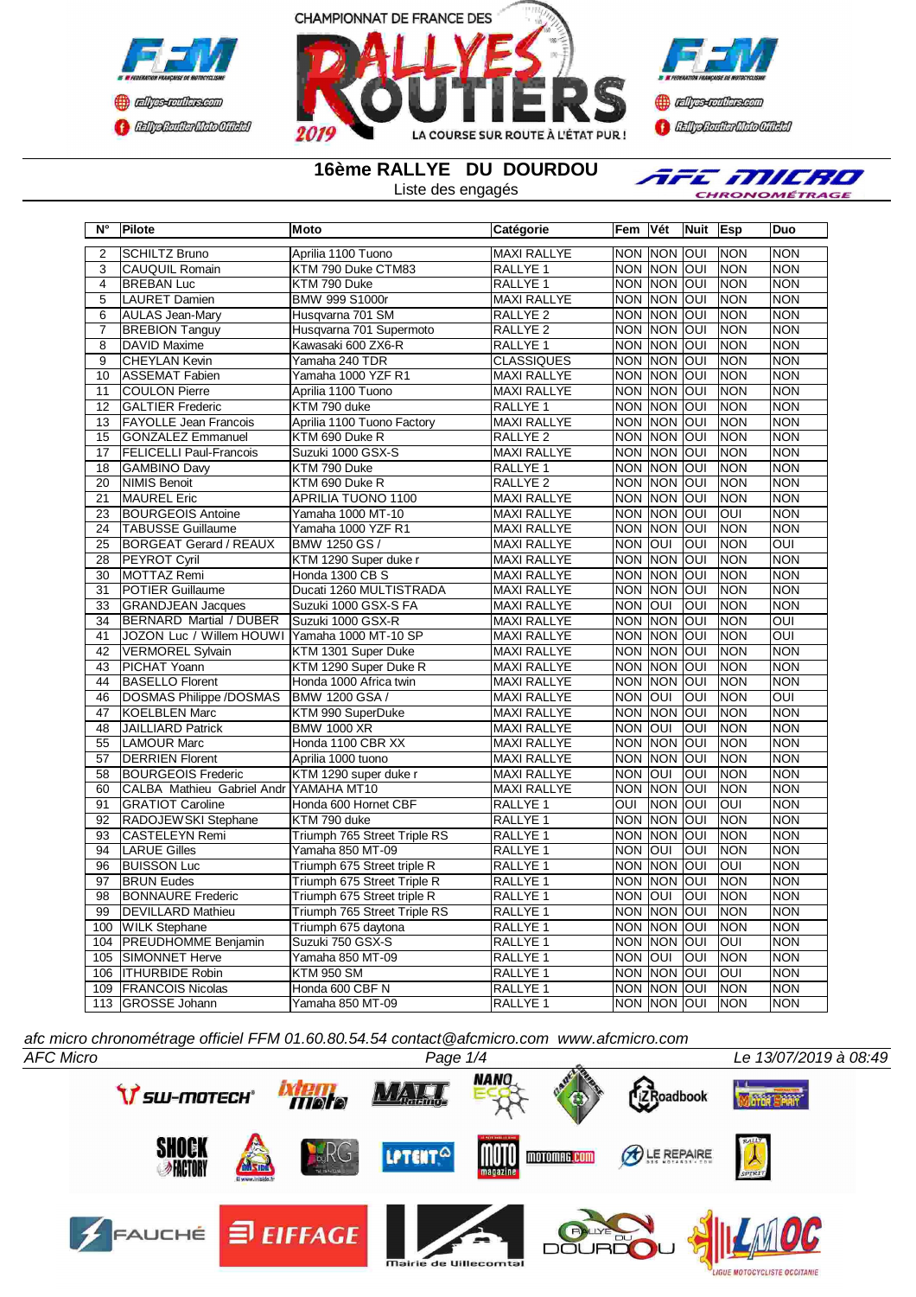





**16ème RALLYE DU DOURDOU**

Liste des engagés

AFE MILRO CHRONOMÉTRAGE

| $N^{\circ}$     | Pilote                                        | <b>Moto</b>                  | Catégorie           | Fem                | Vét            | Nuit       | <b>Esp</b>              | <b>Duo</b>     |
|-----------------|-----------------------------------------------|------------------------------|---------------------|--------------------|----------------|------------|-------------------------|----------------|
| $\overline{2}$  | <b>SCHILTZ Bruno</b>                          | Aprilia 1100 Tuono           | <b>MAXI RALLYE</b>  | <b>NON NON OUI</b> |                |            | <b>INON</b>             | <b>NON</b>     |
| 3               | <b>CAUQUIL Romain</b>                         | KTM 790 Duke CTM83           | RALLYE <sub>1</sub> |                    | NON NON OUI    |            | <b>NON</b>              | <b>NON</b>     |
| 4               | <b>BREBAN Luc</b>                             | KTM 790 Duke                 | RALLYE <sub>1</sub> |                    | NON NON OUI    |            | Inon                    | <b>NON</b>     |
| $\overline{5}$  | <b>LAURET Damien</b>                          | <b>BMW 999 S1000r</b>        | <b>MAXI RALLYE</b>  | <b>NON NON</b>     |                | loui       | <b>NON</b>              | <b>NON</b>     |
| 6               | <b>AULAS Jean-Mary</b>                        | Husqvarna 701 SM             | RALLYE <sub>2</sub> |                    | NON NON        | loui       | NON                     | <b>NON</b>     |
| 7               | <b>BREBION Tanguy</b>                         | Husqvarna 701 Supermoto      | RALLYE <sub>2</sub> | NON NON            |                | loui       | <b>NON</b>              | <b>NON</b>     |
| 8               | <b>DAVID Maxime</b>                           | Kawasaki 600 ZX6-R           | RALLYE 1            |                    | NON NON OUI    |            | <b>NON</b>              | <b>NON</b>     |
| $\overline{9}$  | <b>CHEYLAN Kevin</b>                          | Yamaha 240 TDR               | <b>CLASSIQUES</b>   |                    | NON NON        | loui       | <b>NON</b>              | <b>NON</b>     |
| 10              | <b>ASSEMAT Fabien</b>                         | Yamaha 1000 YZF R1           | <b>MAXI RALLYE</b>  | <b>NON NON</b>     |                | OUI        | <b>NON</b>              | <b>NON</b>     |
| 11              | <b>COULON Pierre</b>                          | Aprilia 1100 Tuono           | <b>MAXI RALLYE</b>  |                    | NON NON OUI    |            | <b>NON</b>              | <b>NON</b>     |
| 12              | <b>GALTIER Frederic</b>                       | KTM 790 duke                 | <b>RALLYE 1</b>     |                    | <b>NON NON</b> | loni       | <b>NON</b>              | <b>NON</b>     |
| 13              | <b>FAYOLLE Jean Francois</b>                  | Aprilia 1100 Tuono Factory   | <b>MAXI RALLYE</b>  | NON NON            |                | loui       | <b>NON</b>              | <b>NON</b>     |
| 15              | <b>GONZALEZ Emmanuel</b>                      | KTM 690 Duke R               | RALLYE <sub>2</sub> | NON NON            |                | lon        | <b>NON</b>              | <b>NON</b>     |
| 17              | <b>FELICELLI Paul-Francois</b>                | Suzuki 1000 GSX-S            | <b>MAXI RALLYE</b>  |                    | NON NON        | loui       | INON                    | <b>NON</b>     |
| 18              | <b>GAMBINO Davy</b>                           | KTM 790 Duke                 | RALLYE <sub>1</sub> | NON INON           |                | loui       | Inon                    | <b>NON</b>     |
| 20              | <b>NIMIS Benoit</b>                           | KTM 690 Duke R               | RALLYE <sub>2</sub> | NON NON            |                | loui       | <b>NON</b>              | <b>NON</b>     |
| 21              | <b>MAUREL Eric</b>                            | APRILIA TUONO 1100           | <b>MAXI RALLYE</b>  |                    | NON NON        | loui       | <b>NON</b>              | <b>NON</b>     |
| $\overline{23}$ | <b>BOURGEOIS Antoine</b>                      | Yamaha 1000 MT-10            | <b>MAXI RALLYE</b>  | <b>NON NON</b>     |                | <b>INO</b> | OUI                     | <b>NON</b>     |
| $\overline{24}$ | <b>TABUSSE Guillaume</b>                      | Yamaha 1000 YZF R1           | <b>MAXI RALLYE</b>  |                    | <b>NON NON</b> | loui       | <b>NON</b>              | <b>NON</b>     |
| 25              | <b>BORGEAT Gerard / REAUX</b>                 | BMW 1250 GS /                | <b>MAXI RALLYE</b>  | NON OUI            |                | <b>INO</b> | <b>NON</b>              | $\overline{O}$ |
| 28              | <b>PEYROT Cyril</b>                           | KTM 1290 Super duke r        | <b>MAXI RALLYE</b>  | NON NON OUI        |                |            | <b>NON</b>              | <b>NON</b>     |
| 30              | MOTTAZ Remi                                   | Honda 1300 CB S              | <b>MAXI RALLYE</b>  |                    | <b>NON NON</b> | loui       | <b>NON</b>              | <b>NON</b>     |
| 31              | <b>POTIER Guillaume</b>                       | Ducati 1260 MULTISTRADA      | <b>MAXI RALLYE</b>  |                    | NON NON        | loui       | <b>NON</b>              | <b>NON</b>     |
| 33              | <b>GRANDJEAN Jacques</b>                      | Suzuki 1000 GSX-S FA         | <b>MAXI RALLYE</b>  | <b>NON OUI</b>     |                | <b>OUI</b> | <b>NON</b>              | <b>NON</b>     |
| 34              | <b>BERNARD Martial / DUBER</b>                | Suzuki 1000 GSX-R            | <b>MAXI RALLYE</b>  | NON NON            |                | loui       | <b>NON</b>              | <b>OUI</b>     |
| 41              | JOZON Luc / Willem HOUWI Yamaha 1000 MT-10 SP |                              | <b>MAXI RALLYE</b>  |                    | NON NON        | loui       | <b>NON</b>              | $\overline{O}$ |
| 42              | <b>VERMOREL Sylvain</b>                       | KTM 1301 Super Duke          | <b>MAXI RALLYE</b>  | NON NON            |                | OUI        | <b>NON</b>              | <b>NON</b>     |
| 43              | PICHAT Yoann                                  | KTM 1290 Super Duke R        | <b>MAXI RALLYE</b>  | <b>NON</b>         | <b>NON</b>     | loui       | <b>NON</b>              | <b>NON</b>     |
| 44              | <b>BASELLO Florent</b>                        | Honda 1000 Africa twin       | <b>MAXI RALLYE</b>  | <b>NON NON</b>     |                | loui       | <b>NON</b>              | <b>NON</b>     |
| 46              | <b>DOSMAS Philippe /DOSMAS</b>                | <b>BMW 1200 GSA/</b>         | <b>MAXI RALLYE</b>  | NON OUI            |                | OUI        | <b>NON</b>              | $\overline{O}$ |
| 47              | <b>KOELBLEN Marc</b>                          | KTM 990 SuperDuke            | <b>MAXI RALLYE</b>  | NON NON            |                | loui       | <b>NON</b>              | <b>NON</b>     |
| 48              | <b>JAILLIARD Patrick</b>                      | <b>BMW 1000 XR</b>           | <b>MAXI RALLYE</b>  | <b>NON OUI</b>     |                | <b>OUI</b> | <b>NON</b>              | <b>NON</b>     |
| 55              | <b>LAMOUR Marc</b>                            | Honda 1100 CBR XX            | <b>MAXI RALLYE</b>  | NON NON            |                | loui       | <b>NON</b>              | <b>NON</b>     |
| 57              | <b>DERRIEN Florent</b>                        | Aprilia 1000 tuono           | <b>MAXI RALLYE</b>  | NON NON            |                | loui       | Inon                    | <b>NON</b>     |
| 58              | <b>BOURGEOIS Frederic</b>                     | KTM 1290 super duke r        | <b>MAXI RALLYE</b>  | NON OUI            |                | OUI        | <b>NON</b>              | <b>NON</b>     |
| 60              | CALBA Mathieu Gabriel Andr YAMAHA MT10        |                              | <b>MAXI RALLYE</b>  |                    | <b>NON NON</b> | loui       | <b>NON</b>              | <b>NON</b>     |
| 91              | <b>GRATIOT Caroline</b>                       | Honda 600 Hornet CBF         | RALLYE <sub>1</sub> | OUI                | <b>NON</b>     | <b>OUI</b> | OUI                     | <b>NON</b>     |
| 92              | RADOJEWSKI Stephane                           | KTM 790 duke                 | <b>RALLYE 1</b>     | NON NON            |                | JOUI       | <b>NON</b>              | <b>NON</b>     |
| 93              | <b>CASTELEYN Remi</b>                         | Triumph 765 Street Triple RS | RALLYE <sub>1</sub> |                    | NON NON        | loui       | <b>NON</b>              | <b>NON</b>     |
| 94              | <b>LARUE Gilles</b>                           | Yamaha 850 MT-09             | RALLYE <sub>1</sub> | <b>NON OUI</b>     |                | <b>INO</b> | <b>NON</b>              | <b>NON</b>     |
| 96              | <b>BUISSON Luc</b>                            | Triumph 675 Street triple R  | RALLYE <sub>1</sub> | NON NON            |                | lon        | OUI                     | <b>NON</b>     |
| 97              | <b>BRUN Eudes</b>                             | Triumph 675 Street Triple R  | RALLYE <sub>1</sub> | <b>NON</b>         | <b>NON</b>     | loui       | INON                    | <b>NON</b>     |
| 98              | <b>BONNAURE Frederic</b>                      | Triumph 675 Street triple R  | RALLYE <sub>1</sub> | <b>NON OUI</b>     |                | <b>OUI</b> | <b>NON</b>              | <b>NON</b>     |
| 99              | <b>DEVILLARD Mathieu</b>                      | Triumph 765 Street Triple RS | RALLYE <sub>1</sub> | <b>NON</b>         | <b>NON</b>     | lon        | <b>NON</b>              | <b>NON</b>     |
| 100             | <b>WILK Stephane</b>                          | Triumph 675 daytona          | RALLYE <sub>1</sub> |                    | NON NON        | loui       | <b>NON</b>              | <b>NON</b>     |
| 104             | <b>PREUDHOMME Benjamin</b>                    | Suzuki 750 GSX-S             | RALLYE <sub>1</sub> | <b>NON NON</b>     |                | loui       | $\overline{\text{OUI}}$ | <b>NON</b>     |
| 105             | <b>SIMONNET Herve</b>                         | Yamaha 850 MT-09             | RALLYE <sub>1</sub> | <b>NON</b>         | loui           | OUI        | <b>NON</b>              | <b>NON</b>     |
| 106             | <b>ITHURBIDE Robin</b>                        | <b>KTM 950 SM</b>            | RALLYE <sub>1</sub> | <b>NON</b>         | <b>NON</b>     | loui       | loui                    | <b>NON</b>     |
| 109             | <b>FRANCOIS Nicolas</b>                       | Honda 600 CBF N              | RALLYE <sub>1</sub> |                    | NON NON OUI    |            | <b>NON</b>              | <b>NON</b>     |
| 113             | GROSSE Johann                                 | Yamaha 850 MT-09             | RALLYE 1            | NON NON OUI        |                |            | <b>NON</b>              | <b>NON</b>     |

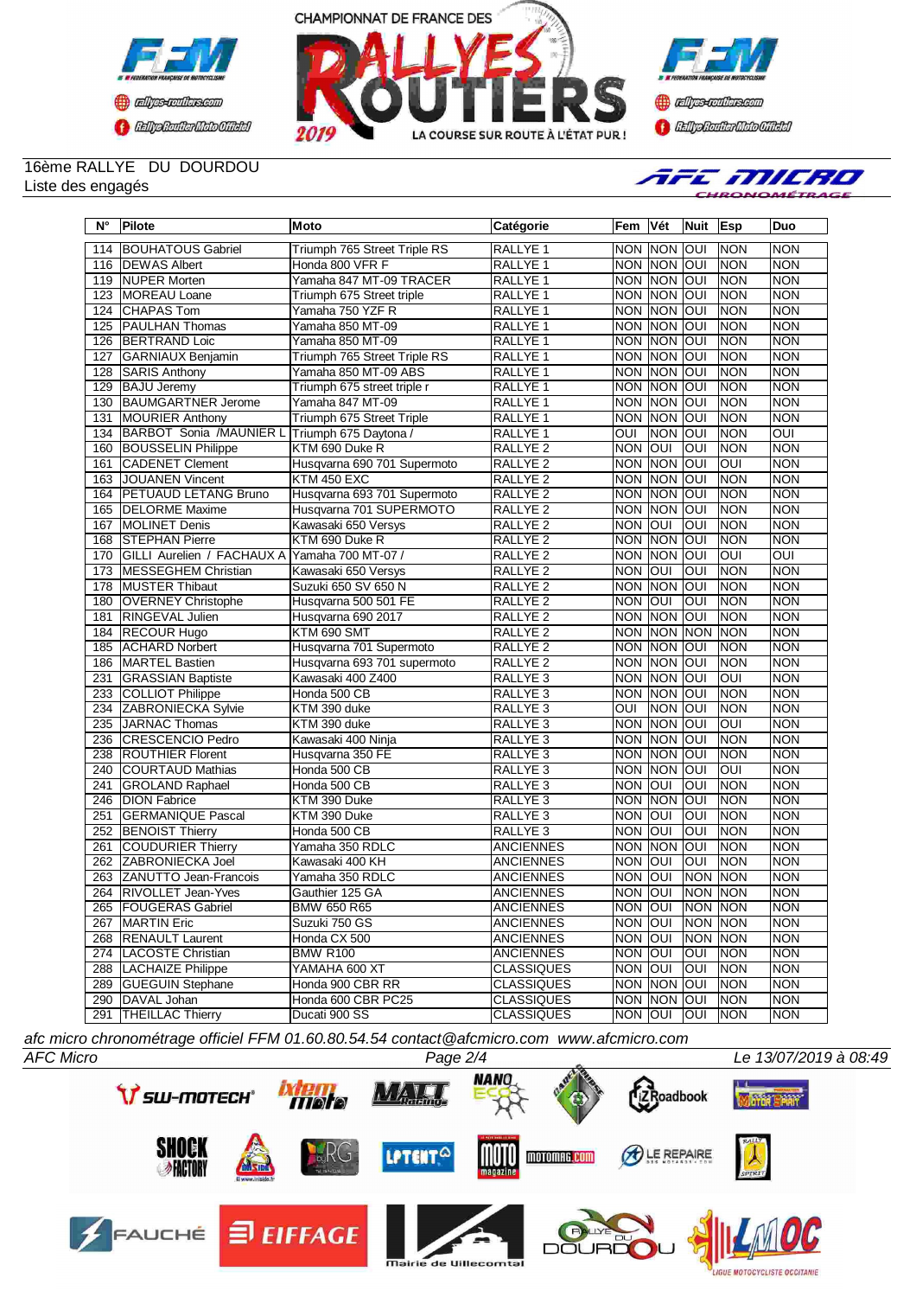





## 16ème RALLYE DU DOURDOU Liste des engagés



| $N^{\circ}$      | Pilote                      | Moto                         | Catégorie           | Fem               | Vét              | Nuit           | <b>Esp</b> | Duo            |
|------------------|-----------------------------|------------------------------|---------------------|-------------------|------------------|----------------|------------|----------------|
| 114              | <b>BOUHATOUS Gabriel</b>    | Triumph 765 Street Triple RS | <b>RALLYE 1</b>     |                   | NON NON OUI      |                | <b>NON</b> | <b>NON</b>     |
| 116              | <b>IDEWAS Albert</b>        | Honda 800 VFR F              | RALLYE <sub>1</sub> | <b>NON</b>        | <b>INON JOUI</b> |                | <b>NON</b> | <b>NON</b>     |
| $\overline{119}$ | <b>NUPER Morten</b>         | Yamaha 847 MT-09 TRACER      | <b>RALLYE 1</b>     | <b>NON</b>        | NON OUI          |                | NON        | <b>NON</b>     |
| 123              | MOREAU Loane                | Triumph 675 Street triple    | RALLYE 1            | <b>NON</b>        | <b>NON</b>       | loui           | <b>NON</b> | <b>NON</b>     |
| 124              | <b>CHAPAS Tom</b>           | Yamaha 750 YZF R             | RALLYE <sub>1</sub> | <b>NON</b>        | NON              | <b>OUI</b>     | <b>NON</b> | <b>NON</b>     |
| 125              | <b>PAULHAN Thomas</b>       | Yamaha 850 MT-09             | RALLYE 1            | <b>NON</b>        | <b>NON</b>       | loui           | <b>NON</b> | <b>NON</b>     |
| 126              | <b>BERTRAND Loic</b>        | Yamaha 850 MT-09             | RALLYE 1            | <b>NON</b>        | <b>NON</b>       | loui           | <b>NON</b> | <b>NON</b>     |
| 127              | GARNIAUX Benjamin           | Triumph 765 Street Triple RS | RALLYE 1            | <b>NON</b>        | <b>NON</b>       | loui           | <b>NON</b> | <b>NON</b>     |
| 128              | <b>SARIS Anthony</b>        | Yamaha 850 MT-09 ABS         | RALLYE 1            | <b>NON</b>        | <b>NON</b>       | loui           | <b>NON</b> | <b>NON</b>     |
|                  | <b>BAJU</b> Jeremy          |                              |                     |                   |                  |                |            | <b>NON</b>     |
| 129              |                             | Triumph 675 street triple r  | RALLYE <sub>1</sub> | <b>NON</b>        | <b>NON</b>       | <b>OUI</b>     | <b>NON</b> |                |
| 130              | <b>BAUMGARTNER Jerome</b>   | Yamaha 847 MT-09             | RALLYE <sub>1</sub> | <b>NON</b>        | <b>NON</b>       | loui           | NON        | <b>NON</b>     |
| 131              | <b>MOURIER Anthony</b>      | Triumph 675 Street Triple    | RALLYE 1            | <b>NON</b>        | <b>NON</b>       | loui           | <b>NON</b> | <b>NON</b>     |
| 134              | BARBOT Sonia /MAUNIER L     | Triumph 675 Daytona /        | RALLYE <sub>1</sub> | OUI               | <b>NON</b>       | loui           | <b>NON</b> | $\overline{O}$ |
| 160              | <b>BOUSSELIN Philippe</b>   | KTM 690 Duke R               | RALLYE <sub>2</sub> | <b>NON</b>        | loui             | OUI            | <b>NON</b> | <b>NON</b>     |
| 161              | <b>CADENET Clement</b>      | Husqvarna 690 701 Supermoto  | RALLYE <sub>2</sub> | <b>NON</b>        | <b>NON</b>       | loui           | loui       | <b>NON</b>     |
| 163              | JOUANEN Vincent             | <b>KTM 450 EXC</b>           | RALLYE <sub>2</sub> | <b>NON</b>        | <b>NON</b>       | <b>OUI</b>     | <b>NON</b> | <b>NON</b>     |
| 164              | <b>PETUAUD LETANG Bruno</b> | Husqvarna 693 701 Supermoto  | RALLYE <sub>2</sub> | <b>NON</b>        | <b>NON</b>       | loui           | <b>NON</b> | <b>NON</b>     |
| 165              | <b>DELORME</b> Maxime       | Husqvarna 701 SUPERMOTO      | RALLYE <sub>2</sub> | <b>NON</b>        | <b>NON</b>       | lon            | <b>NON</b> | <b>NON</b>     |
| 167              | <b>MOLINET Denis</b>        | Kawasaki 650 Versys          | RALLYE <sub>2</sub> | <b>NON</b>        | <b>OUI</b>       | lon            | <b>NON</b> | <b>NON</b>     |
| 168              | <b>I</b> STEPHAN Pierre     | KTM 690 Duke R               | <b>RALLYE 2</b>     | <b>NON</b>        | <b>NON</b>       | loui           | <b>NON</b> | <b>NON</b>     |
| 170              | GILLI Aurelien / FACHAUX A  | Yamaha 700 MT-07 /           | <b>RALLYE 2</b>     | <b>NON</b>        | <b>NON</b>       | loui           | OUI        | $\overline{O}$ |
| 173              | <b>MESSEGHEM Christian</b>  | Kawasaki 650 Versys          | RALLYE <sub>2</sub> | <b>NON</b>        | <b>JOUT</b>      | loui           | <b>NON</b> | <b>NON</b>     |
| 178              | <b>MUSTER Thibaut</b>       | Suzuki 650 SV 650 N          | <b>RALLYE 2</b>     | <b>NON</b>        | <b>NON</b>       | loni           | <b>NON</b> | <b>NON</b>     |
| 180              | <b>OVERNEY Christophe</b>   | Husqvarna 500 501 FE         | RALLYE <sub>2</sub> | <b>NON</b>        | loui             | OUI            | <b>NON</b> | <b>NON</b>     |
| 181              | <b>RINGEVAL Julien</b>      | Husqvarna 690 2017           | <b>RALLYE 2</b>     | <b>NON</b>        | <b>NON OUI</b>   |                | <b>NON</b> | <b>NON</b>     |
| 184              | <b>RECOUR Hugo</b>          | KTM 690 SMT                  | RALLYE <sub>2</sub> | <b>NON</b>        | <b>NON</b>       | <b>NON</b>     | <b>NON</b> | <b>NON</b>     |
| 185              | <b>ACHARD Norbert</b>       | Husqvarna 701 Supermoto      | RALLYE <sub>2</sub> | <b>NON</b>        | <b>NON</b>       | loui           | <b>NON</b> | <b>NON</b>     |
| 186              | MARTEL Bastien              | Husqvarna 693 701 supermoto  | RALLYE <sub>2</sub> | <b>NON</b>        | NON OUI          |                | <b>NON</b> | <b>NON</b>     |
| 231              | <b>GRASSIAN Baptiste</b>    | Kawasaki 400 Z400            | RALLYE <sub>3</sub> | <b>NON</b>        | NON              | loui           | <b>OUI</b> | <b>NON</b>     |
| 233              | COLLIOT Philippe            | Honda 500 CB                 | RALLYE <sub>3</sub> | <b>NON</b>        | <b>NON</b>       | loui           | <b>NON</b> | <b>NON</b>     |
| 234              | ZABRONIECKA Sylvie          | KTM 390 duke                 | RALLYE <sub>3</sub> | <b>OUI</b>        | <b>NON</b>       | loui           | <b>NON</b> | <b>NON</b>     |
| 235              | JARNAC Thomas               | KTM 390 duke                 | RALLYE <sub>3</sub> | <b>NON</b>        | <b>NON</b>       | loui           | OUI        | <b>NON</b>     |
| 236              | <b>ICRESCENCIO Pedro</b>    | Kawasaki 400 Ninja           | RALLYE <sub>3</sub> | <b>NON</b>        | <b>NON</b>       | loui           | <b>NON</b> | <b>NON</b>     |
| 238              | <b>ROUTHIER Florent</b>     | Husqvarna 350 FE             | RALLYE <sub>3</sub> | <b>NON</b>        | <b>NON</b>       | loni           | <b>NON</b> | <b>NON</b>     |
| 240              | <b>COURTAUD Mathias</b>     | Honda 500 CB                 | RALLYE <sub>3</sub> | <b>NON</b>        | <b>NON</b>       | loui           | loui       | <b>NON</b>     |
| 241              | <b>GROLAND Raphael</b>      | Honda 500 CB                 | RALLYE <sub>3</sub> | <b>NON</b>        | loui             | loui           | <b>NON</b> | <b>NON</b>     |
| 246              | <b>DION Fabrice</b>         | KTM 390 Duke                 | RALLYE <sub>3</sub> | <b>NON</b>        | <b>NON</b>       | loui           | <b>NON</b> | <b>NON</b>     |
| 251              | <b>GERMANIQUE Pascal</b>    | KTM 390 Duke                 | RALLYE <sub>3</sub> | <b>NON</b>        | loui             | OUI            | <b>NON</b> | <b>NON</b>     |
|                  |                             |                              |                     |                   | loui             | OUI            |            | <b>NON</b>     |
| 252              | <b>BENOIST Thierry</b>      | Honda 500 CB                 | RALLYE <sub>3</sub> | <b>NON</b>        |                  |                | NON        |                |
| 261              | <b>COUDURIER Thierry</b>    | Yamaha 350 RDLC              | <b>ANCIENNES</b>    | <b>NON</b>        | <b>NON</b>       | <u>ON</u>      | <b>NON</b> | <b>NON</b>     |
| 262              | ZABRONIECKA Joel            | Kawasaki 400 KH              | <b>ANCIENNES</b>    | <b>NON</b>        | loui             | OUI            | NON        | <b>NON</b>     |
| 263              | ZANUTTO Jean-Francois       | Yamaha 350 RDLC              | <b>ANCIENNES</b>    | <b>NON</b>        | <b>OUI</b>       | <b>NON</b>     | <b>NON</b> | <b>NON</b>     |
|                  | 264 RIVOLLET Jean-Yves      | Gauthier 125 GA              | <b>ANCIENNES</b>    | <b>NON</b>        | lour             | NON NON        |            | <b>NON</b>     |
|                  | 265   FOUGERAS Gabriel      | <b>BMW 650 R65</b>           | <b>ANCIENNES</b>    | INON <b>J</b> OUI |                  | <b>NON NON</b> |            | <b>NON</b>     |
| 267              | MARTIN Eric                 | Suzuki 750 GS                | <b>ANCIENNES</b>    | <b>NON OUI</b>    |                  | NON NON        |            | <b>NON</b>     |
|                  | 268 RENAULT Laurent         | Honda CX 500                 | <b>ANCIENNES</b>    | NON OUI           |                  | NON NON        |            | <b>NON</b>     |
|                  | 274   LACOSTE Christian     | <b>BMW R100</b>              | <b>ANCIENNES</b>    | NON OUI           |                  | <b>OUI</b>     | <b>NON</b> | <b>NON</b>     |
|                  | 288 LACHAIZE Philippe       | YAMAHA 600 XT                | <b>CLASSIQUES</b>   | NON OUI           |                  | <b>OUI</b>     | <b>NON</b> | <b>NON</b>     |
|                  | 289 GUEGUIN Stephane        | Honda 900 CBR RR             | <b>CLASSIQUES</b>   |                   | NON NON OUI      |                | <b>NON</b> | <b>NON</b>     |
| 290              | DAVAL Johan                 | Honda 600 CBR PC25           | <b>CLASSIQUES</b>   |                   | NON NON OUI      |                | <b>NON</b> | <b>NON</b>     |
| 291              | <b>THEILLAC Thierry</b>     | Ducati 900 SS                | <b>CLASSIQUES</b>   | NON OUI           |                  | <b>OUI</b>     | NON        | <b>NON</b>     |

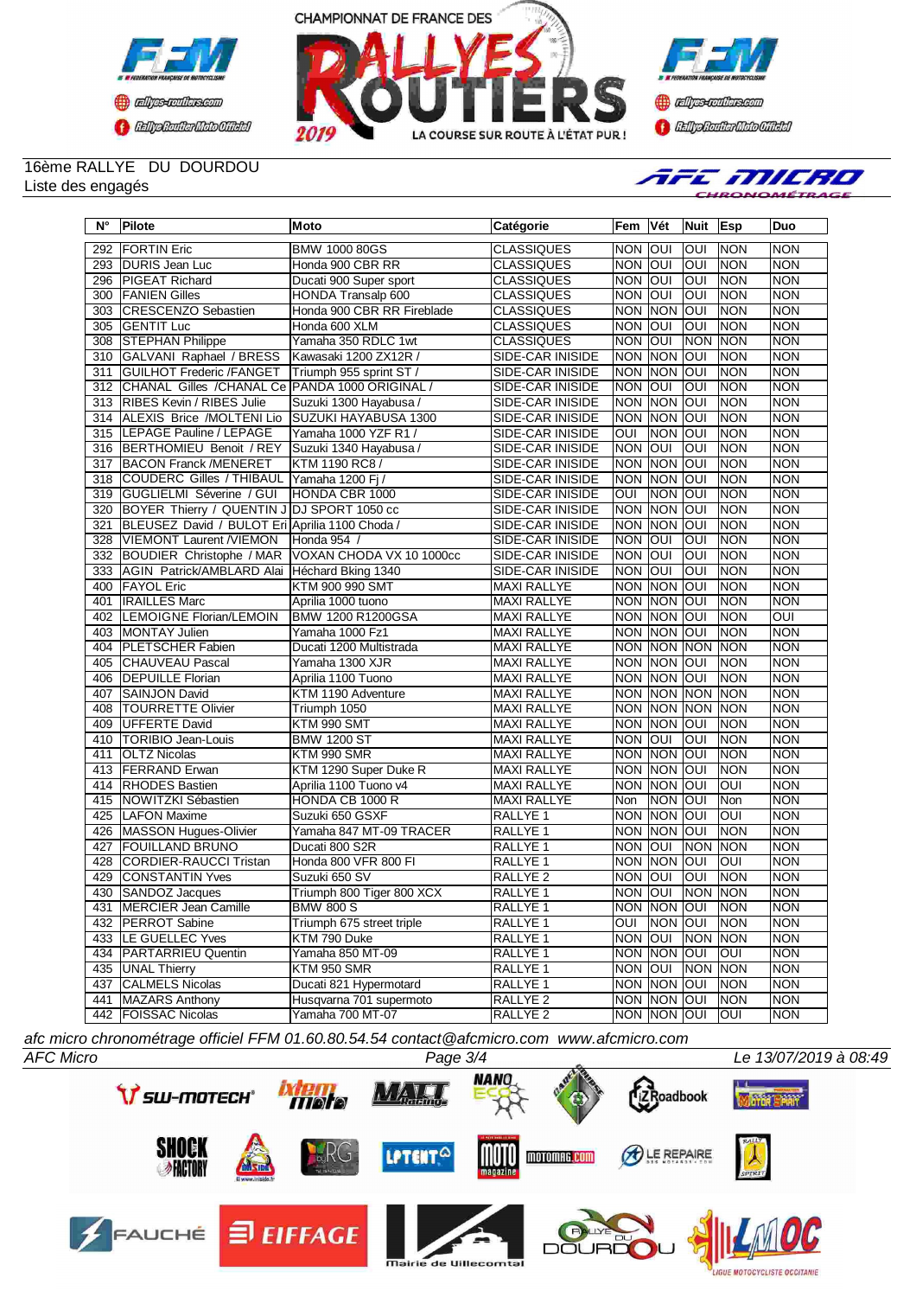





## 16ème RALLYE DU DOURDOU Liste des engagés



| $N^{\circ}$ | Pilote                                         | Moto                       | Catégorie               | <b>Fem</b>     | Vét            | <b>Nuit</b>    | Esp        | Duo        |
|-------------|------------------------------------------------|----------------------------|-------------------------|----------------|----------------|----------------|------------|------------|
| 292         | <b>FORTIN Eric</b>                             | <b>BMW 1000 80GS</b>       | <b>CLASSIQUES</b>       | <b>NON</b>     | <b>OUI</b>     | loui           | <b>NON</b> | <b>NON</b> |
| 293         | DURIS Jean Luc                                 | Honda 900 CBR RR           | <b>CLASSIQUES</b>       | <b>NON</b>     | loui           | loui           | <b>NON</b> | <b>NON</b> |
| 296         | <b>PIGEAT Richard</b>                          | Ducati 900 Super sport     | <b>CLASSIQUES</b>       | <b>NON</b>     | loui           | loui           | <b>NON</b> | <b>NON</b> |
| 300         | <b>FANIEN Gilles</b>                           | HONDA Transalp 600         | <b>CLASSIQUES</b>       | <b>NON</b>     | <b>JOUI</b>    | loui           | INON       | <b>NON</b> |
| 303         | CRESCENZO Sebastien                            | Honda 900 CBR RR Fireblade | <b>CLASSIQUES</b>       | <b>NON</b>     | <b>NON</b>     | loui           | INON       | <b>NON</b> |
| 305         | <b>GENTIT Luc</b>                              | Honda 600 XLM              | <b>CLASSIQUES</b>       | <b>NON</b>     | loui           | loui           | <b>NON</b> | <b>NON</b> |
| 308         | <b>STEPHAN Philippe</b>                        | Yamaha 350 RDLC 1wt        | <b>CLASSIQUES</b>       | <b>NON</b>     | <b>OUI</b>     | <b>NON</b>     | <b>NON</b> | <b>NON</b> |
| 310         | GALVANI Raphael / BRESS                        | Kawasaki 1200 ZX12R /      | SIDE-CAR INISIDE        | <b>NON</b>     | <b>NON</b>     | loui           | <b>NON</b> | <b>NON</b> |
| 311         | <b>GUILHOT Frederic /FANGET</b>                | Triumph 955 sprint ST /    | SIDE-CAR INISIDE        | <b>NON</b>     | <b>NON</b>     | loui           | <b>NON</b> | <b>NON</b> |
| 312         | CHANAL Gilles /CHANAL Ce                       | PANDA 1000 ORIGINAL /      | <b>SIDE-CAR INISIDE</b> | <b>NON</b>     | loui           | loui           | <b>NON</b> | <b>NON</b> |
| 313         | <b>RIBES Kevin / RIBES Julie</b>               | Suzuki 1300 Hayabusa /     | SIDE-CAR INISIDE        | <b>NON</b>     | <b>NON</b>     | loui           | <b>NON</b> | <b>NON</b> |
| 314         | ALEXIS Brice /MOLTENI Lio                      | SUZUKI HAYABUSA 1300       | SIDE-CAR INISIDE        | <b>NON</b>     | INON           | ΙΟυι           | <b>NON</b> | <b>NON</b> |
| 315         | LEPAGE Pauline / LEPAGE                        | Yamaha 1000 YZF R1 /       | SIDE-CAR INISIDE        | OUI            | <b>NON</b>     | IOUI           | <b>NON</b> | <b>NON</b> |
| 316         | BERTHOMIEU Benoit / REY                        | Suzuki 1340 Hayabusa /     | SIDE-CAR INISIDE        | <b>NON</b>     | loui           | loui           | <b>NON</b> | <b>NON</b> |
| 317         | <b>BACON Franck /MENERET</b>                   | KTM 1190 RC8 /             | SIDE-CAR INISIDE        | <b>NON</b>     | <b>NON</b>     | IOUI           | <b>NON</b> | <b>NON</b> |
| 318         | COUDERC Gilles / THIBAUL                       | Yamaha 1200 Fi /           | SIDE-CAR INISIDE        | <b>NON</b>     | <b>NON OUI</b> |                | <b>NON</b> | <b>NON</b> |
| 319         | GUGLIELMI Séverine / GUI                       | HONDA CBR 1000             | SIDE-CAR INISIDE        | OUI            | <b>NON</b>     | loui           | <b>NON</b> | <b>NON</b> |
| 320         | BOYER Thierry / QUENTIN J DJ SPORT 1050 cc     |                            | SIDE-CAR INISIDE        | <b>NON</b>     | <b>NON</b>     | loui           | <b>NON</b> | <b>NON</b> |
| 321         | BLEUSEZ David / BULOT Eri Aprilia 1100 Choda / |                            | SIDE-CAR INISIDE        | <b>NON</b>     | <b>NON</b>     | IOUI           | <b>NON</b> | <b>NON</b> |
| 328         | <b>VIEMONT Laurent /VIEMON</b>                 | Honda 954                  | SIDE-CAR INISIDE        | <b>NON</b>     | loui           | JOUI           | <b>NON</b> | <b>NON</b> |
| 332         | BOUDIER Christophe / MAR                       | VOXAN CHODA VX 10 1000cc   | SIDE-CAR INISIDE        | <b>NON</b>     | IOUI           | loui           | <b>NON</b> | <b>NON</b> |
| 333         | AGIN Patrick/AMBLARD Alai                      | Héchard Bking 1340         | SIDE-CAR INISIDE        | <b>NON</b>     | lon            | JON            | <b>NON</b> | <b>NON</b> |
| 400         | <b>IFAYOL Eric</b>                             | <b>KTM 900 990 SMT</b>     | <b>MAXI RALLYE</b>      | <b>NON</b>     | <b>NON</b>     | loui           | Inon       | <b>NON</b> |
| 401         | <b>IRAILLES Marc</b>                           | Aprilia 1000 tuono         | <b>MAXI RALLYE</b>      | <b>NON</b>     | INON           | IOUI           | <b>NON</b> | <b>NON</b> |
| 402         | LEMOIGNE Florian/LEMOIN                        | <b>BMW 1200 R1200GSA</b>   | <b>MAXI RALLYE</b>      | <b>NON NON</b> |                | loui           | <b>NON</b> | OUI        |
| 403         | MONTAY Julien                                  | Yamaha 1000 Fz1            | <b>MAXI RALLYE</b>      | <b>NON</b>     | <b>NON</b>     | loui           | <b>NON</b> | <b>NON</b> |
| 404         | <b>PLETSCHER Fabien</b>                        | Ducati 1200 Multistrada    | MAXI RALLYE             | <b>NON</b>     | <b>NON</b>     | <b>INON</b>    | <b>NON</b> | <b>NON</b> |
| 405         | <b>CHAUVEAU Pascal</b>                         | Yamaha 1300 XJR            | <b>MAXI RALLYE</b>      | <b>NON</b>     | <b>NON</b>     | loui           | <b>NON</b> | <b>NON</b> |
| 406         | <b>DEPUILLE Florian</b>                        | Aprilia 1100 Tuono         | MAXI RALLYE             | <b>NON NON</b> |                | loui           | Inon       | <b>NON</b> |
| 407         | SAINJON David                                  | KTM 1190 Adventure         | MAXI RALLYE             | <b>NON</b>     | <b>NON</b>     | <b>NON</b>     | <b>NON</b> | <b>NON</b> |
| 408         | <b>TOURRETTE Olivier</b>                       | Triumph 1050               | MAXI RALLYE             | <b>NON</b>     | <b>NON NON</b> |                | <b>NON</b> | <b>NON</b> |
| 409         | UFFERTE David                                  | KTM 990 SMT                | <b>MAXI RALLYE</b>      | <b>NON</b>     | <b>INON</b>    | IOUI           | INON       | <b>NON</b> |
| 410         | <b>TORIBIO Jean-Louis</b>                      | <b>BMW 1200 ST</b>         | MAXI RALLYE             | <b>NON</b>     | <b>OUI</b>     | <b>OUI</b>     | <b>NON</b> | <b>NON</b> |
| 411         | <b>OLTZ Nicolas</b>                            | KTM 990 SMR                | MAXI RALLYE             | <b>NON NON</b> |                | loui           | <b>NON</b> | <b>NON</b> |
| 413         | <b>FERRAND</b> Erwan                           | KTM 1290 Super Duke R      | MAXI RALLYE             | NON NON        |                | loui           | <b>NON</b> | <b>NON</b> |
| 414         | <b>RHODES Bastien</b>                          | Aprilia 1100 Tuono v4      | MAXI RALLYE             | <b>NON</b>     | <b>NON</b>     | loui           | OUI        | <b>NON</b> |
| 415         | NOWITZKI Sébastien                             | HONDA CB 1000 R            | <b>MAXI RALLYE</b>      | Non            | INON           | loui           | Non        | <b>NON</b> |
| 425         | LAFON Maxime                                   | Suzuki 650 GSXF            | RALLYE <sub>1</sub>     | <b>NON</b>     | <b>NON</b>     | loui           | loui       | <b>NON</b> |
| 426         | MASSON Hugues-Olivier                          | Yamaha 847 MT-09 TRACER    | RALLYE <sub>1</sub>     | <b>NON</b>     | <b>NON</b>     | loui           | <b>NON</b> | <b>NON</b> |
| 427         | <b>FOUILLAND BRUNO</b>                         | Ducati 800 S2R             | RALLYE 1                | <b>NON</b>     | loui           | <b>NON</b>     | <b>NON</b> | <b>NON</b> |
| 428         | <b>CORDIER-RAUCCI Tristan</b>                  | Honda 800 VFR 800 FI       | RALLYE <sub>1</sub>     | <b>NON</b>     | NON            | loui           | OUI        | <b>NON</b> |
| 429         | <b>CONSTANTIN Yves</b>                         | Suzuki 650 SV              | RALLYE <sub>2</sub>     | <b>NON</b>     | loni           | loui           | <b>NON</b> | <b>NON</b> |
| 430         | SANDOZ Jacques                                 | Triumph 800 Tiger 800 XCX  | RALLYE 1                | <b>NON</b>     | lon            | NON NON        |            | <b>NON</b> |
| 431         | <b>IMERCIER Jean Camille</b>                   | <b>BMW 800 S</b>           | RALLYE <sub>1</sub>     | NON NON OUI    |                |                | <b>NON</b> | <b>NON</b> |
| 432         | <b>PERROT</b> Sabine                           | Triumph 675 street triple  | RALLYE 1                | OUI            | NON OUI        |                | <b>NON</b> | <b>NON</b> |
| 433         | <b>LE GUELLEC Yves</b>                         | KTM 790 Duke               | RALLYE 1                | NON OUI        |                | NON NON        |            | <b>NON</b> |
| 434         | <b>PARTARRIEU Quentin</b>                      | Yamaha 850 MT-09           | RALLYE <sub>1</sub>     | NON NON OUI    |                |                | <b>OUI</b> | <b>NON</b> |
| 435         | <b>UNAL Thierry</b>                            | KTM 950 SMR                | RALLYE 1                | NON OUI        |                | <b>NON NON</b> |            | <b>NON</b> |
| 437         | <b>CALMELS Nicolas</b>                         | Ducati 821 Hypermotard     | RALLYE <sub>1</sub>     | NON NON OUI    |                |                | <b>NON</b> | <b>NON</b> |
| 441         | <b>MAZARS Anthony</b>                          | Husgyarna 701 supermoto    | RALLYE <sub>2</sub>     | NON MON JOUI   |                |                | <b>NON</b> | <b>NON</b> |
|             | 442   FOISSAC Nicolas                          | Yamaha 700 MT-07           | RALLYE 2                | NON NON JOUI   |                |                | <b>OUI</b> | <b>NON</b> |